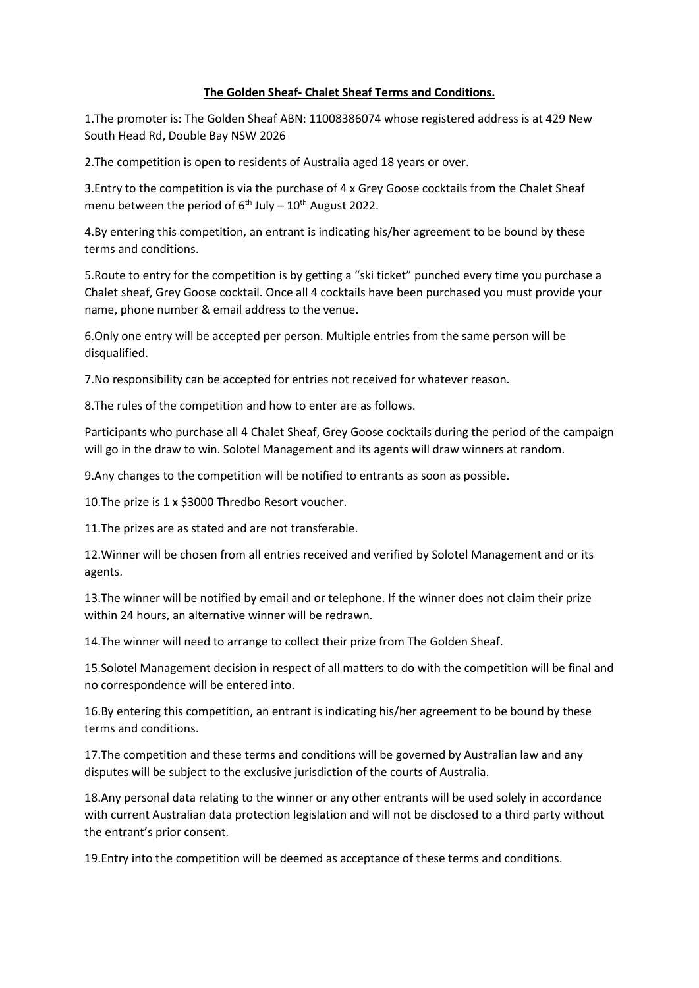## **The Golden Sheaf- Chalet Sheaf Terms and Conditions.**

1.The promoter is: The Golden Sheaf ABN: 11008386074 whose registered address is at 429 New South Head Rd, Double Bay NSW 2026

2.The competition is open to residents of Australia aged 18 years or over.

3.Entry to the competition is via the purchase of 4 x Grey Goose cocktails from the Chalet Sheaf menu between the period of  $6<sup>th</sup>$  July – 10<sup>th</sup> August 2022.

4.By entering this competition, an entrant is indicating his/her agreement to be bound by these terms and conditions.

5.Route to entry for the competition is by getting a "ski ticket" punched every time you purchase a Chalet sheaf, Grey Goose cocktail. Once all 4 cocktails have been purchased you must provide your name, phone number & email address to the venue.

6.Only one entry will be accepted per person. Multiple entries from the same person will be disqualified.

7.No responsibility can be accepted for entries not received for whatever reason.

8.The rules of the competition and how to enter are as follows.

Participants who purchase all 4 Chalet Sheaf, Grey Goose cocktails during the period of the campaign will go in the draw to win. Solotel Management and its agents will draw winners at random.

9.Any changes to the competition will be notified to entrants as soon as possible.

10.The prize is 1 x \$3000 Thredbo Resort voucher.

11.The prizes are as stated and are not transferable.

12.Winner will be chosen from all entries received and verified by Solotel Management and or its agents.

13.The winner will be notified by email and or telephone. If the winner does not claim their prize within 24 hours, an alternative winner will be redrawn.

14.The winner will need to arrange to collect their prize from The Golden Sheaf.

15.Solotel Management decision in respect of all matters to do with the competition will be final and no correspondence will be entered into.

16.By entering this competition, an entrant is indicating his/her agreement to be bound by these terms and conditions.

17.The competition and these terms and conditions will be governed by Australian law and any disputes will be subject to the exclusive jurisdiction of the courts of Australia.

18.Any personal data relating to the winner or any other entrants will be used solely in accordance with current Australian data protection legislation and will not be disclosed to a third party without the entrant's prior consent.

19.Entry into the competition will be deemed as acceptance of these terms and conditions.